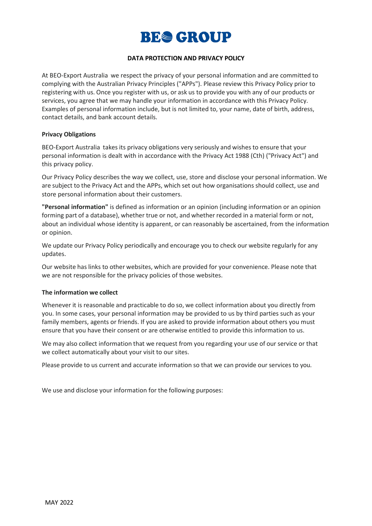

# **DATA PROTECTION AND PRIVACY POLICY**

At BEO-Export Australia we respect the privacy of your personal information and are committed to complying with the Australian Privacy Principles ("APPs"). Please review this Privacy Policy prior to registering with us. Once you register with us, or ask us to provide you with any of our products or services, you agree that we may handle your information in accordance with this Privacy Policy. Examples of personal information include, but is not limited to, your name, date of birth, address, contact details, and bank account details.

#### **Privacy Obligations**

BEO-Export Australia takes its privacy obligations very seriously and wishes to ensure that your personal information is dealt with in accordance with the Privacy Act 1988 (Cth) ("Privacy Act") and this privacy policy.

Our Privacy Policy describes the way we collect, use, store and disclose your personal information. We are subject to the Privacy Act and the APPs, which set out how organisations should collect, use and store personal information about their customers.

**"Personal information"** is defined as information or an opinion (including information or an opinion forming part of a database), whether true or not, and whether recorded in a material form or not, about an individual whose identity is apparent, or can reasonably be ascertained, from the information or opinion.

We update our Privacy Policy periodically and encourage you to check our website regularly for any updates.

Our website has links to other websites, which are provided for your convenience. Please note that we are not responsible for the privacy policies of those websites.

#### **The information we collect**

Whenever it is reasonable and practicable to do so, we collect information about you directly from you. In some cases, your personal information may be provided to us by third parties such as your family members, agents or friends. If you are asked to provide information about others you must ensure that you have their consent or are otherwise entitled to provide this information to us.

We may also collect information that we request from you regarding your use of our service or that we collect automatically about your visit to our sites.

Please provide to us current and accurate information so that we can provide our services to you.

We use and disclose your information for the following purposes: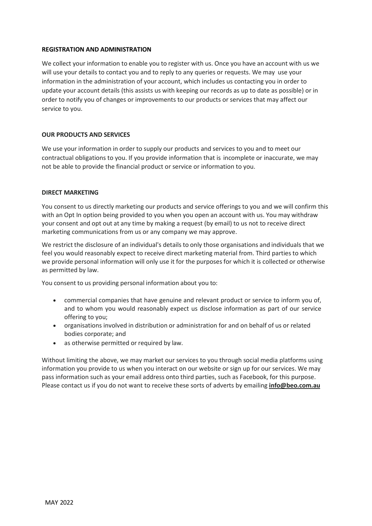### **REGISTRATION AND ADMINISTRATION**

We collect your information to enable you to register with us. Once you have an account with us we will use your details to contact you and to reply to any queries or requests. We may use your information in the administration of your account, which includes us contacting you in order to update your account details (this assists us with keeping our records as up to date as possible) or in order to notify you of changes or improvements to our products or services that may affect our service to you.

# **OUR PRODUCTS AND SERVICES**

We use your information in order to supply our products and services to you and to meet our contractual obligations to you. If you provide information that is incomplete or inaccurate, we may not be able to provide the financial product or service or information to you.

### **DIRECT MARKETING**

You consent to us directly marketing our products and service offerings to you and we will confirm this with an Opt In option being provided to you when you open an account with us. You may withdraw your consent and opt out at any time by making a request (by email) to us not to receive direct marketing communications from us or any company we may approve.

We restrict the disclosure of an individual's details to only those organisations and individuals that we feel you would reasonably expect to receive direct marketing material from. Third parties to which we provide personal information will only use it for the purposes for which it is collected or otherwise as permitted by law.

You consent to us providing personal information about you to:

- commercial companies that have genuine and relevant product or service to inform you of, and to whom you would reasonably expect us disclose information as part of our service offering to you;
- organisations involved in distribution or administration for and on behalf of us or related bodies corporate; and
- as otherwise permitted or required by law.

Without limiting the above, we may market our services to you through social media platforms using information you provide to us when you interact on our website or sign up for our services. We may pass information such as your email address onto third parties, such as Facebook, for this purpose. Please contact us if you do not want to receive these sorts of adverts by emailing **[info@beo.com.au](mailto:info@beo.com.au)**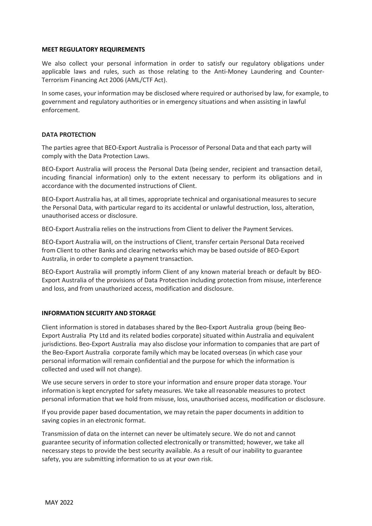#### **MEET REGULATORY REQUIREMENTS**

We also collect your personal information in order to satisfy our regulatory obligations under applicable laws and rules, such as those relating to the Anti-Money Laundering and Counter-Terrorism Financing Act 2006 (AML/CTF Act).

In some cases, your information may be disclosed where required or authorised by law, for example, to government and regulatory authorities or in emergency situations and when assisting in lawful enforcement.

# **DATA PROTECTION**

The parties agree that BEO-Export Australia is Processor of Personal Data and that each party will comply with the Data Protection Laws.

BEO-Export Australia will process the Personal Data (being sender, recipient and transaction detail, incuding financial information) only to the extent necessary to perform its obligations and in accordance with the documented instructions of Client.

BEO-Export Australia has, at all times, appropriate technical and organisational measures to secure the Personal Data, with particular regard to its accidental or unlawful destruction, loss, alteration, unauthorised access or disclosure.

BEO-Export Australia relies on the instructions from Client to deliver the Payment Services.

BEO-Export Australia will, on the instructions of Client, transfer certain Personal Data received from Client to other Banks and clearing networks which may be based outside of BEO-Export Australia, in order to complete a payment transaction.

BEO-Export Australia will promptly inform Client of any known material breach or default by BEO-Export Australia of the provisions of Data Protection including protection from misuse, interference and loss, and from unauthorized access, modification and disclosure.

# **INFORMATION SECURITY AND STORAGE**

Client information is stored in databases shared by the Beo-Export Australia group (being Beo-Export Australia Pty Ltd and its related bodies corporate) situated within Australia and equivalent jurisdictions. Beo-Export Australia may also disclose your information to companies that are part of the Beo-Export Australia corporate family which may be located overseas (in which case your personal information will remain confidential and the purpose for which the information is collected and used will not change).

We use secure servers in order to store your information and ensure proper data storage. Your information is kept encrypted for safety measures. We take all reasonable measures to protect personal information that we hold from misuse, loss, unauthorised access, modification or disclosure.

If you provide paper based documentation, we may retain the paper documents in addition to saving copies in an electronic format.

Transmission of data on the internet can never be ultimately secure. We do not and cannot guarantee security of information collected electronically or transmitted; however, we take all necessary steps to provide the best security available. As a result of our inability to guarantee safety, you are submitting information to us at your own risk.